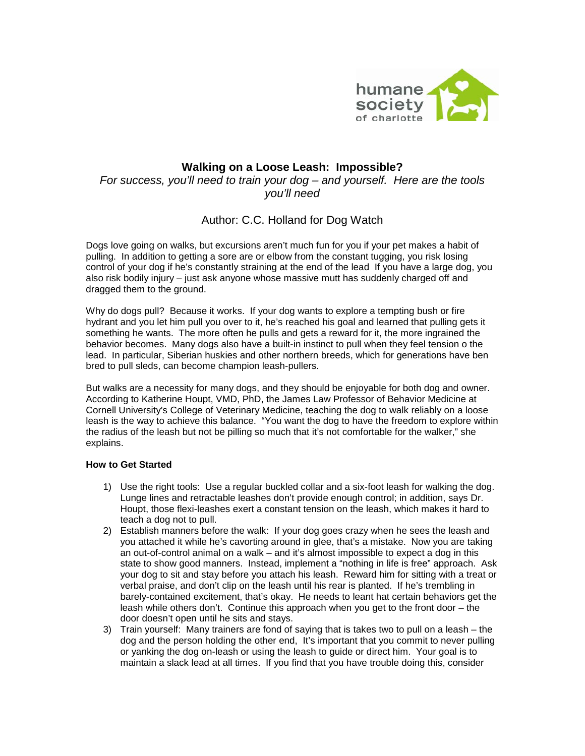

## **Walking on a Loose Leash: Impossible?** *For success, you'll need to train your dog – and yourself. Here are the tools you'll need*

# Author: C.C. Holland for Dog Watch

Dogs love going on walks, but excursions aren't much fun for you if your pet makes a habit of pulling. In addition to getting a sore are or elbow from the constant tugging, you risk losing control of your dog if he's constantly straining at the end of the lead If you have a large dog, you also risk bodily injury – just ask anyone whose massive mutt has suddenly charged off and dragged them to the ground.

Why do dogs pull? Because it works. If your dog wants to explore a tempting bush or fire hydrant and you let him pull you over to it, he's reached his goal and learned that pulling gets it something he wants. The more often he pulls and gets a reward for it, the more ingrained the behavior becomes. Many dogs also have a built-in instinct to pull when they feel tension o the lead. In particular, Siberian huskies and other northern breeds, which for generations have ben bred to pull sleds, can become champion leash-pullers.

But walks are a necessity for many dogs, and they should be enjoyable for both dog and owner. According to Katherine Houpt, VMD, PhD, the James Law Professor of Behavior Medicine at Cornell University's College of Veterinary Medicine, teaching the dog to walk reliably on a loose leash is the way to achieve this balance. "You want the dog to have the freedom to explore within the radius of the leash but not be pilling so much that it's not comfortable for the walker," she explains.

## **How to Get Started**

- 1) Use the right tools: Use a regular buckled collar and a six-foot leash for walking the dog. Lunge lines and retractable leashes don't provide enough control; in addition, says Dr. Houpt, those flexi-leashes exert a constant tension on the leash, which makes it hard to teach a dog not to pull.
- 2) Establish manners before the walk: If your dog goes crazy when he sees the leash and you attached it while he's cavorting around in glee, that's a mistake. Now you are taking an out-of-control animal on a walk – and it's almost impossible to expect a dog in this state to show good manners. Instead, implement a "nothing in life is free" approach. Ask your dog to sit and stay before you attach his leash. Reward him for sitting with a treat or verbal praise, and don't clip on the leash until his rear is planted. If he's trembling in barely-contained excitement, that's okay. He needs to leant hat certain behaviors get the leash while others don't. Continue this approach when you get to the front door – the door doesn't open until he sits and stays.
- 3) Train yourself: Many trainers are fond of saying that is takes two to pull on a leash the dog and the person holding the other end, It's important that you commit to never pulling or yanking the dog on-leash or using the leash to guide or direct him. Your goal is to maintain a slack lead at all times. If you find that you have trouble doing this, consider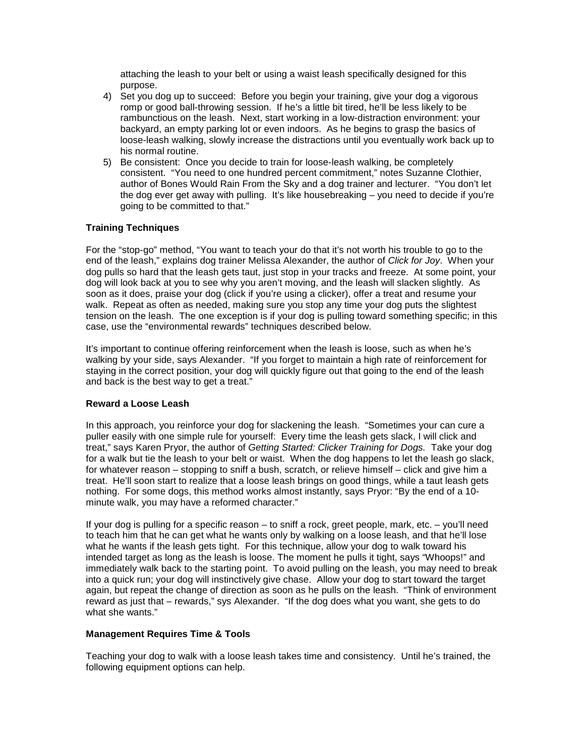attaching the leash to your belt or using a waist leash specifically designed for this purpose.

- 4) Set you dog up to succeed: Before you begin your training, give your dog a vigorous romp or good ball-throwing session. If he's a little bit tired, he'll be less likely to be rambunctious on the leash. Next, start working in a low-distraction environment: your backyard, an empty parking lot or even indoors. As he begins to grasp the basics of loose-leash walking, slowly increase the distractions until you eventually work back up to his normal routine.
- 5) Be consistent: Once you decide to train for loose-leash walking, be completely consistent. "You need to one hundred percent commitment," notes Suzanne Clothier, author of Bones Would Rain From the Sky and a dog trainer and lecturer. "You don't let the dog ever get away with pulling. It's like housebreaking – you need to decide if you're going to be committed to that."

## **Training Techniques**

For the "stop-go" method, "You want to teach your do that it's not worth his trouble to go to the end of the leash," explains dog trainer Melissa Alexander, the author of *Click for Joy*. When your dog pulls so hard that the leash gets taut, just stop in your tracks and freeze. At some point, your dog will look back at you to see why you aren't moving, and the leash will slacken slightly. As soon as it does, praise your dog (click if you're using a clicker), offer a treat and resume your walk. Repeat as often as needed, making sure you stop any time your dog puts the slightest tension on the leash. The one exception is if your dog is pulling toward something specific; in this case, use the "environmental rewards" techniques described below.

It's important to continue offering reinforcement when the leash is loose, such as when he's walking by your side, says Alexander. "If you forget to maintain a high rate of reinforcement for staying in the correct position, your dog will quickly figure out that going to the end of the leash and back is the best way to get a treat."

## **Reward a Loose Leash**

In this approach, you reinforce your dog for slackening the leash. "Sometimes your can cure a puller easily with one simple rule for yourself: Every time the leash gets slack, I will click and treat," says Karen Pryor, the author of *Getting Started: Clicker Training for Dogs.* Take your dog for a walk but tie the leash to your belt or waist. When the dog happens to let the leash go slack, for whatever reason – stopping to sniff a bush, scratch, or relieve himself – click and give him a treat. He'll soon start to realize that a loose leash brings on good things, while a taut leash gets nothing. For some dogs, this method works almost instantly, says Pryor: "By the end of a 10 minute walk, you may have a reformed character."

If your dog is pulling for a specific reason – to sniff a rock, greet people, mark, etc. – you'll need to teach him that he can get what he wants only by walking on a loose leash, and that he'll lose what he wants if the leash gets tight. For this technique, allow your dog to walk toward his intended target as long as the leash is loose. The moment he pulls it tight, says "Whoops!" and immediately walk back to the starting point. To avoid pulling on the leash, you may need to break into a quick run; your dog will instinctively give chase. Allow your dog to start toward the target again, but repeat the change of direction as soon as he pulls on the leash. "Think of environment reward as just that – rewards," sys Alexander. "If the dog does what you want, she gets to do what she wants."

## **Management Requires Time & Tools**

Teaching your dog to walk with a loose leash takes time and consistency. Until he's trained, the following equipment options can help.